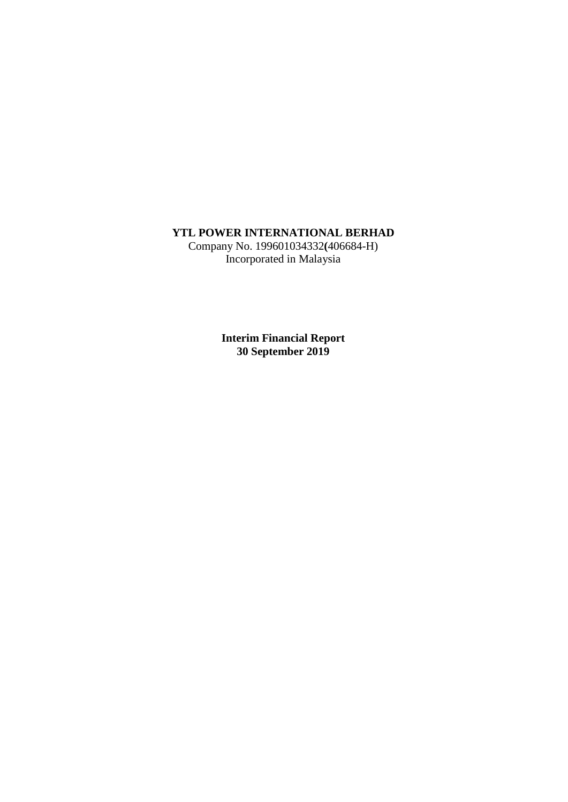# **YTL POWER INTERNATIONAL BERHAD**

Company No. 199601034332**(**406684-H) Incorporated in Malaysia

> **Interim Financial Report 30 September 2019**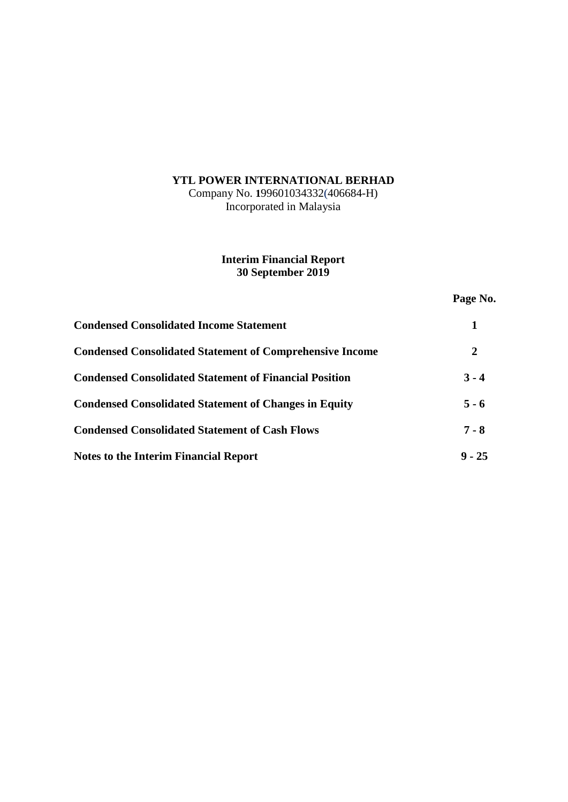# **YTL POWER INTERNATIONAL BERHAD**

Company No. **1**99601034332(406684-H) Incorporated in Malaysia

# **Interim Financial Report 30 September 2019**

# **Page No.**

| <b>Condensed Consolidated Income Statement</b>                  |          |
|-----------------------------------------------------------------|----------|
| <b>Condensed Consolidated Statement of Comprehensive Income</b> | 2        |
| <b>Condensed Consolidated Statement of Financial Position</b>   | $3 - 4$  |
| <b>Condensed Consolidated Statement of Changes in Equity</b>    | $5 - 6$  |
| <b>Condensed Consolidated Statement of Cash Flows</b>           | $7 - 8$  |
| <b>Notes to the Interim Financial Report</b>                    | $9 - 25$ |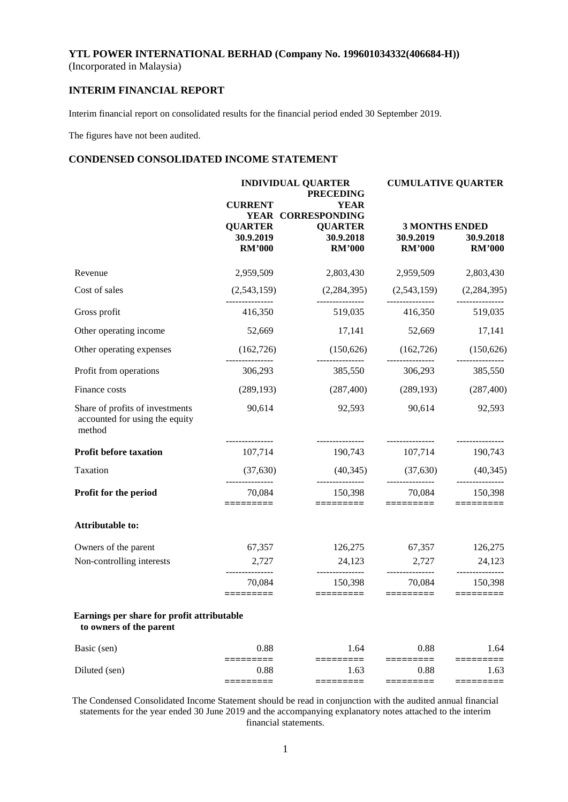## **INTERIM FINANCIAL REPORT**

Interim financial report on consolidated results for the financial period ended 30 September 2019.

The figures have not been audited.

## **CONDENSED CONSOLIDATED INCOME STATEMENT**

|                                                                             |                                              | <b>INDIVIDUAL QUARTER</b><br><b>PRECEDING</b> | <b>CUMULATIVE QUARTER</b>                                    |                            |  |
|-----------------------------------------------------------------------------|----------------------------------------------|-----------------------------------------------|--------------------------------------------------------------|----------------------------|--|
|                                                                             | <b>CURRENT</b>                               | <b>YEAR</b><br>YEAR CORRESPONDING             |                                                              |                            |  |
|                                                                             | <b>QUARTER</b><br>30.9.2019<br><b>RM'000</b> | <b>QUARTER</b><br>30.9.2018<br><b>RM'000</b>  | <b>3 MONTHS ENDED</b><br>30.9.2019<br><b>RM'000</b>          | 30.9.2018<br><b>RM'000</b> |  |
| Revenue                                                                     | 2,959,509                                    |                                               | 2,803,430 2,959,509                                          | 2,803,430                  |  |
| Cost of sales                                                               | (2,543,159)<br>---------------               |                                               | $(2,284,395)$ $(2,543,159)$ $(2,284,395)$<br>--------------- |                            |  |
| Gross profit                                                                | 416,350                                      |                                               | 519,035 416,350                                              | 519,035                    |  |
| Other operating income                                                      | 52,669                                       | 17,141                                        | 52,669                                                       | 17,141                     |  |
| Other operating expenses                                                    | (162, 726)                                   |                                               | $(150,626)$ $(162,726)$ $(150,626)$                          |                            |  |
| Profit from operations                                                      | _______________<br>306,293                   | ---------------<br>385,550                    | ---------------<br>306,293                                   | ---------------<br>385,550 |  |
| Finance costs                                                               | (289, 193)                                   |                                               | $(287,400)$ $(289,193)$ $(287,400)$                          |                            |  |
| Share of profits of investments<br>accounted for using the equity<br>method | 90,614                                       | 92,593                                        | 90,614                                                       | 92,593                     |  |
| <b>Profit before taxation</b>                                               | ________________<br>107,714                  | ---------------<br>190,743                    | _______________<br>107,714                                   | ---------------<br>190,743 |  |
| Taxation                                                                    | (37,630)                                     | (40,345)                                      | (37,630)                                                     | (40, 345)                  |  |
| Profit for the period                                                       | 70,084<br>========                           | 150,398<br>=========                          | 70,084<br>$=$ $=$ $=$ $=$ $=$ $=$ $=$ $=$ $=$                | 150,398<br>=========       |  |
| Attributable to:                                                            |                                              |                                               |                                                              |                            |  |
| Owners of the parent                                                        | 67,357                                       | 126,275                                       | 67,357                                                       | 126,275                    |  |
| Non-controlling interests                                                   | 2,727                                        | 24,123                                        | 2,727<br>---------------                                     | 24,123                     |  |
|                                                                             | 70,084<br>=========                          | 150,398                                       | 70,084<br>$=$ ========                                       | 150,398<br>$=$ ========    |  |
| Earnings per share for profit attributable<br>to owners of the parent       |                                              |                                               |                                                              |                            |  |
| Basic (sen)                                                                 | 0.88                                         | 1.64                                          | 0.88                                                         | 1.64                       |  |
| Diluted (sen)                                                               | 0.88                                         | 1.63                                          | 0.88                                                         | 1.63                       |  |
|                                                                             | ⋍⋍⋍⋍                                         | ====                                          | ⋍⋍⋍⋍⋍                                                        | :====                      |  |

The Condensed Consolidated Income Statement should be read in conjunction with the audited annual financial statements for the year ended 30 June 2019 and the accompanying explanatory notes attached to the interim financial statements.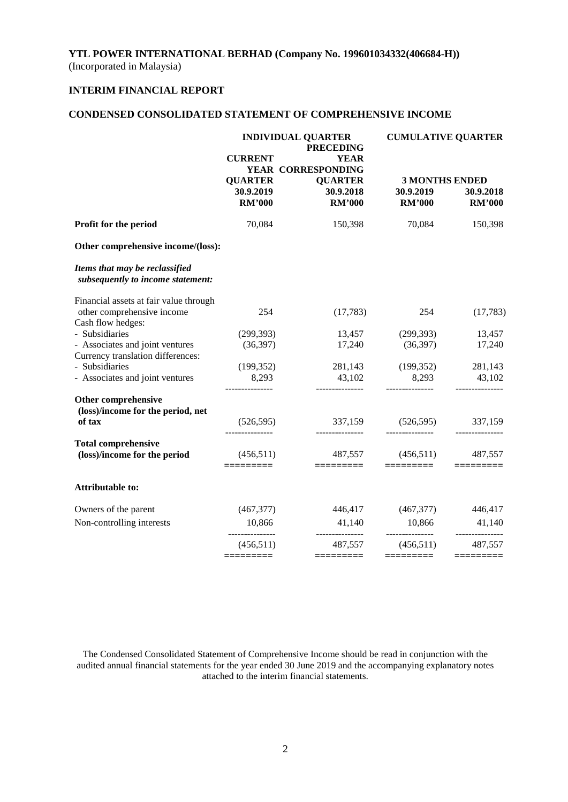# **INTERIM FINANCIAL REPORT**

# **CONDENSED CONSOLIDATED STATEMENT OF COMPREHENSIVE INCOME**

|                                                                     |                                              | <b>INDIVIDUAL QUARTER</b><br><b>PRECEDING</b> | <b>CUMULATIVE QUARTER</b>                           |                            |  |
|---------------------------------------------------------------------|----------------------------------------------|-----------------------------------------------|-----------------------------------------------------|----------------------------|--|
|                                                                     | <b>CURRENT</b>                               | <b>YEAR</b><br>YEAR CORRESPONDING             |                                                     |                            |  |
|                                                                     | <b>QUARTER</b><br>30.9.2019<br><b>RM'000</b> | <b>QUARTER</b><br>30.9.2018<br><b>RM'000</b>  | <b>3 MONTHS ENDED</b><br>30.9.2019<br><b>RM'000</b> | 30.9.2018<br><b>RM'000</b> |  |
| Profit for the period                                               | 70,084                                       | 150,398                                       | 70,084                                              | 150,398                    |  |
| Other comprehensive income/(loss):                                  |                                              |                                               |                                                     |                            |  |
| Items that may be reclassified<br>subsequently to income statement: |                                              |                                               |                                                     |                            |  |
| Financial assets at fair value through                              |                                              |                                               |                                                     |                            |  |
| other comprehensive income<br>Cash flow hedges:                     | 254                                          | (17,783)                                      | 254                                                 | (17,783)                   |  |
| - Subsidiaries                                                      | (299, 393)                                   | 13,457                                        | (299, 393)                                          | 13,457                     |  |
| - Associates and joint ventures                                     | (36, 397)                                    | 17,240                                        | (36,397)                                            | 17,240                     |  |
| Currency translation differences:                                   |                                              |                                               |                                                     |                            |  |
| - Subsidiaries                                                      | (199, 352)                                   | 281,143                                       | (199, 352)                                          | 281,143                    |  |
| - Associates and joint ventures                                     | 8,293                                        | 43,102<br>_______________                     | 8,293<br>---------------                            | 43,102                     |  |
| Other comprehensive                                                 |                                              |                                               |                                                     |                            |  |
| (loss)/income for the period, net                                   |                                              |                                               |                                                     |                            |  |
| of tax                                                              | (526, 595)                                   | 337,159<br>---------------                    | (526, 595)<br>---------------                       | 337,159                    |  |
| <b>Total comprehensive</b>                                          |                                              |                                               |                                                     |                            |  |
| (loss)/income for the period                                        | (456,511)<br>=========                       | 487,557<br>=========                          | (456,511)<br>=========                              | 487,557                    |  |
| Attributable to:                                                    |                                              |                                               |                                                     |                            |  |
| Owners of the parent                                                | (467, 377)                                   | 446,417                                       | (467,377)                                           | 446,417                    |  |
| Non-controlling interests                                           | 10,866                                       | 41,140<br>---------------                     | 10,866<br>---------------                           | 41,140<br>---------------  |  |
|                                                                     | (456, 511)                                   | 487,557                                       | (456, 511)                                          | 487,557                    |  |
|                                                                     | =========                                    |                                               | =========                                           |                            |  |

The Condensed Consolidated Statement of Comprehensive Income should be read in conjunction with the audited annual financial statements for the year ended 30 June 2019 and the accompanying explanatory notes attached to the interim financial statements.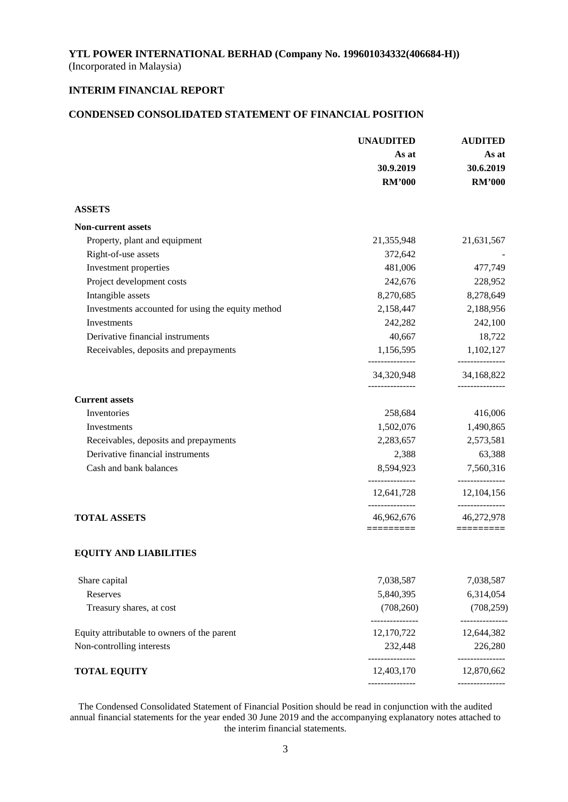# **INTERIM FINANCIAL REPORT**

## **CONDENSED CONSOLIDATED STATEMENT OF FINANCIAL POSITION**

|                                                   | <b>UNAUDITED</b>              | <b>AUDITED</b>                           |  |
|---------------------------------------------------|-------------------------------|------------------------------------------|--|
|                                                   | As at                         | As at                                    |  |
|                                                   | 30.9.2019                     | 30.6.2019                                |  |
|                                                   | <b>RM'000</b>                 | <b>RM'000</b>                            |  |
| <b>ASSETS</b>                                     |                               |                                          |  |
| <b>Non-current assets</b>                         |                               |                                          |  |
| Property, plant and equipment                     | 21,355,948                    | 21,631,567                               |  |
| Right-of-use assets                               | 372,642                       |                                          |  |
| Investment properties                             | 481,006                       | 477,749                                  |  |
| Project development costs                         | 242,676                       | 228,952                                  |  |
| Intangible assets                                 | 8,270,685                     | 8,278,649                                |  |
| Investments accounted for using the equity method | 2,158,447                     | 2,188,956                                |  |
| Investments                                       | 242,282                       | 242,100                                  |  |
| Derivative financial instruments                  | 40,667                        | 18,722                                   |  |
| Receivables, deposits and prepayments             | 1,156,595                     | 1,102,127<br>---------------             |  |
|                                                   | 34,320,948                    | 34,168,822                               |  |
| <b>Current assets</b>                             |                               |                                          |  |
| Inventories                                       | 258,684                       | 416,006                                  |  |
| Investments                                       | 1,502,076                     | 1,490,865                                |  |
| Receivables, deposits and prepayments             | 2,283,657                     | 2,573,581                                |  |
| Derivative financial instruments                  | 2,388                         | 63,388                                   |  |
| Cash and bank balances                            | 8,594,923                     | 7,560,316                                |  |
|                                                   | ---------------<br>12,641,728 | _______________<br>12,104,156            |  |
| <b>TOTAL ASSETS</b>                               | ---------------<br>46,962,676 | -------------<br>46,272,978<br>========= |  |
| <b>EQUITY AND LIABILITIES</b>                     |                               |                                          |  |
|                                                   |                               |                                          |  |
| Share capital                                     | 7,038,587                     | 7,038,587                                |  |
| Reserves                                          | 5,840,395                     | 6,314,054                                |  |
| Treasury shares, at cost                          | (708, 260)<br>--------------  | (708, 259)<br>-----------                |  |
| Equity attributable to owners of the parent       | 12,170,722                    | 12,644,382                               |  |
| Non-controlling interests                         | 232,448                       | 226,280                                  |  |
| <b>TOTAL EQUITY</b>                               | 12,403,170                    | 12,870,662                               |  |
|                                                   |                               |                                          |  |

The Condensed Consolidated Statement of Financial Position should be read in conjunction with the audited annual financial statements for the year ended 30 June 2019 and the accompanying explanatory notes attached to the interim financial statements.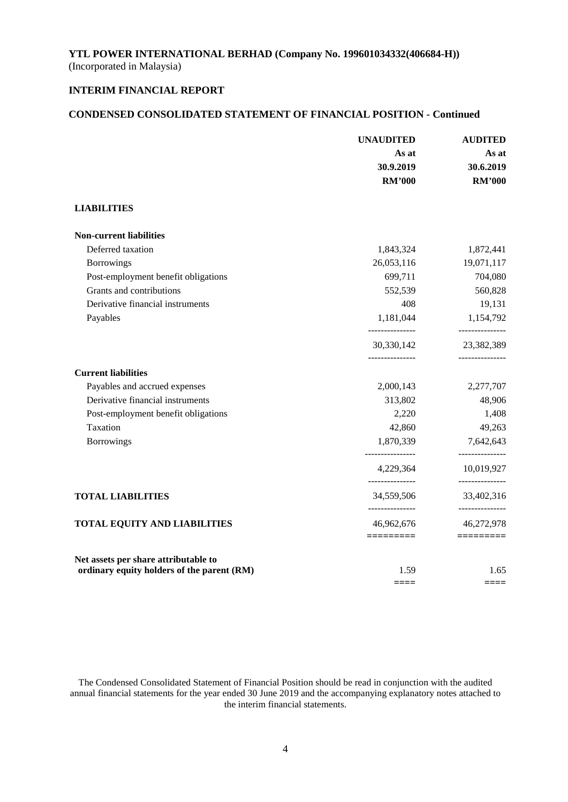# **INTERIM FINANCIAL REPORT**

# **CONDENSED CONSOLIDATED STATEMENT OF FINANCIAL POSITION - Continued**

|                                                                                    | <b>UNAUDITED</b><br>As at<br>30.9.2019<br><b>RM'000</b> | <b>AUDITED</b><br>As at<br>30.6.2019<br><b>RM'000</b> |
|------------------------------------------------------------------------------------|---------------------------------------------------------|-------------------------------------------------------|
| <b>LIABILITIES</b>                                                                 |                                                         |                                                       |
| <b>Non-current liabilities</b>                                                     |                                                         |                                                       |
| Deferred taxation                                                                  | 1,843,324                                               | 1,872,441                                             |
| <b>Borrowings</b>                                                                  | 26,053,116                                              | 19,071,117                                            |
| Post-employment benefit obligations                                                | 699,711                                                 | 704,080                                               |
| Grants and contributions                                                           | 552,539                                                 | 560,828                                               |
| Derivative financial instruments                                                   | 408                                                     | 19,131                                                |
| Payables                                                                           | 1,181,044<br>---------------                            | 1,154,792<br>---------------                          |
|                                                                                    | 30,330,142<br>---------------                           | 23,382,389<br>---------------                         |
| <b>Current liabilities</b>                                                         |                                                         |                                                       |
| Payables and accrued expenses                                                      | 2,000,143                                               | 2,277,707                                             |
| Derivative financial instruments                                                   | 313,802                                                 | 48,906                                                |
| Post-employment benefit obligations                                                | 2,220                                                   | 1,408                                                 |
| Taxation                                                                           | 42,860                                                  | 49,263                                                |
| <b>Borrowings</b>                                                                  | 1,870,339<br>_______________                            | 7,642,643<br>-------------                            |
|                                                                                    | 4,229,364<br>_______________                            | 10,019,927<br>---------------                         |
| <b>TOTAL LIABILITIES</b>                                                           | 34,559,506                                              | 33,402,316<br>---------------                         |
| <b>TOTAL EQUITY AND LIABILITIES</b>                                                | 46,962,676                                              | 46,272,978                                            |
|                                                                                    | $=$ $=$ $=$ $=$ $=$ $=$ $=$ $=$ $=$                     | $=$ ========                                          |
| Net assets per share attributable to<br>ordinary equity holders of the parent (RM) | 1.59                                                    | 1.65                                                  |
|                                                                                    | $====$                                                  | $=====$                                               |

The Condensed Consolidated Statement of Financial Position should be read in conjunction with the audited annual financial statements for the year ended 30 June 2019 and the accompanying explanatory notes attached to the interim financial statements.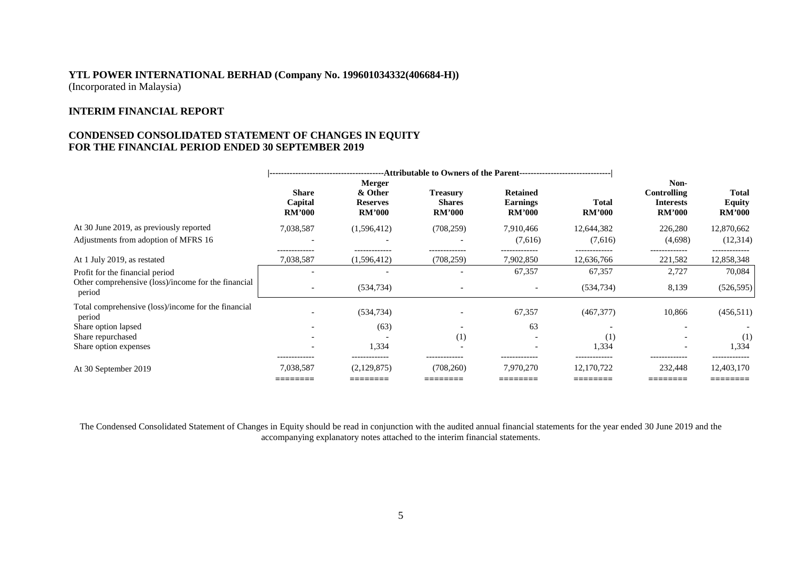## **INTERIM FINANCIAL REPORT**

## **CONDENSED CONSOLIDATED STATEMENT OF CHANGES IN EQUITY FOR THE FINANCIAL PERIOD ENDED 30 SEPTEMBER 2019**

|                                                               | ---Attributable to Owners of the Parent----------------------------------<br>-------------------------------------- |                                                       |                                                   |                                                     |                                   |                                                          |                                                |
|---------------------------------------------------------------|---------------------------------------------------------------------------------------------------------------------|-------------------------------------------------------|---------------------------------------------------|-----------------------------------------------------|-----------------------------------|----------------------------------------------------------|------------------------------------------------|
|                                                               | <b>Share</b><br>Capital<br><b>RM'000</b>                                                                            | Merger<br>& Other<br><b>Reserves</b><br><b>RM'000</b> | <b>Treasury</b><br><b>Shares</b><br><b>RM'000</b> | <b>Retained</b><br><b>Earnings</b><br><b>RM'000</b> | <b>Total</b><br><b>RM'000</b>     | Non-<br>Controlling<br><b>Interests</b><br><b>RM'000</b> | <b>Total</b><br><b>Equity</b><br><b>RM'000</b> |
| At 30 June 2019, as previously reported                       | 7,038,587                                                                                                           | (1,596,412)                                           | (708, 259)                                        | 7,910,466                                           | 12,644,382                        | 226,280                                                  | 12,870,662                                     |
| Adjustments from adoption of MFRS 16                          | $\overline{\phantom{a}}$                                                                                            | $\overline{\phantom{0}}$                              |                                                   | (7,616)                                             | (7,616)                           | (4,698)                                                  | (12,314)                                       |
| At 1 July 2019, as restated                                   | -------------<br>7,038,587                                                                                          | (1,596,412)                                           | -------------<br>(708, 259)                       | 7,902,850                                           | 12,636,766                        | 221,582                                                  | -------------<br>12,858,348                    |
| Profit for the financial period                               |                                                                                                                     |                                                       |                                                   | 67,357                                              | 67,357                            | 2,727                                                    | 70,084                                         |
| Other comprehensive (loss)/income for the financial<br>period | $\overline{\phantom{a}}$                                                                                            | (534, 734)                                            |                                                   |                                                     | (534, 734)                        | 8,139                                                    | (526, 595)                                     |
| Total comprehensive (loss)/income for the financial<br>period |                                                                                                                     | (534, 734)                                            |                                                   | 67,357                                              | (467, 377)                        | 10,866                                                   | (456, 511)                                     |
| Share option lapsed                                           | $\overline{\phantom{0}}$                                                                                            | (63)                                                  |                                                   | 63                                                  |                                   |                                                          |                                                |
| Share repurchased                                             |                                                                                                                     |                                                       | (1)                                               |                                                     | (1)                               |                                                          | (1)                                            |
| Share option expenses                                         | $\overline{\phantom{0}}$                                                                                            | 1,334                                                 | $\overline{\phantom{a}}$                          |                                                     | 1,334                             |                                                          | 1,334                                          |
| At 30 September 2019                                          | 7,038,587<br>________<br>________                                                                                   | (2,129,875)<br>________<br>________                   | (708,260)<br>________<br>________                 | 7,970,270<br>________<br>________                   | 12,170,722<br>_______<br>________ | 232,448<br>________<br>________                          | 12,403,170<br>________<br>________             |

The Condensed Consolidated Statement of Changes in Equity should be read in conjunction with the audited annual financial statements for the year ended 30 June 2019 and the accompanying explanatory notes attached to the interim financial statements.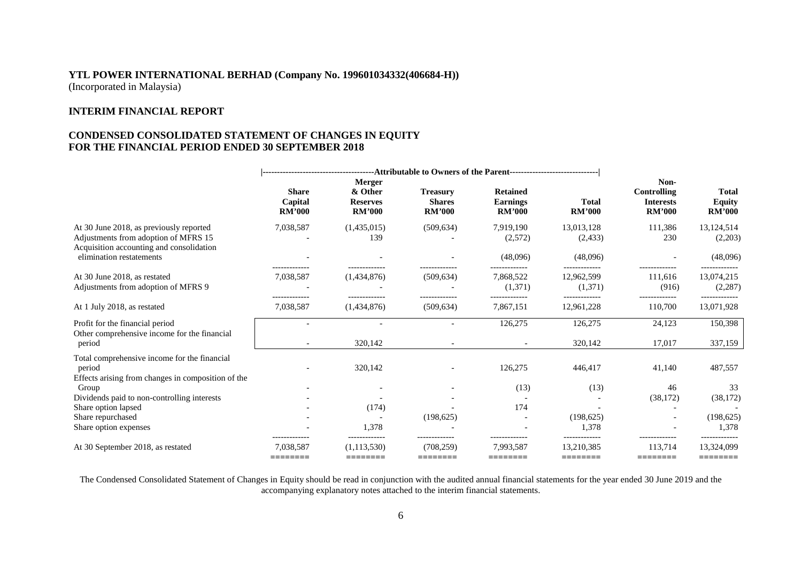## **INTERIM FINANCIAL REPORT**

## **CONDENSED CONSOLIDATED STATEMENT OF CHANGES IN EQUITY FOR THE FINANCIAL PERIOD ENDED 30 SEPTEMBER 2018**

|                                                                                                                             | <b>Share</b><br>Capital<br><b>RM'000</b> | Merger<br>& Other<br><b>Reserves</b><br><b>RM'000</b> | <b>Treasury</b><br><b>Shares</b><br><b>RM'000</b> | <b>Retained</b><br><b>Earnings</b><br><b>RM'000</b> | <b>Total</b><br><b>RM'000</b> | Non-<br>Controlling<br><b>Interests</b><br><b>RM'000</b> | <b>Total</b><br><b>Equity</b><br><b>RM'000</b> |
|-----------------------------------------------------------------------------------------------------------------------------|------------------------------------------|-------------------------------------------------------|---------------------------------------------------|-----------------------------------------------------|-------------------------------|----------------------------------------------------------|------------------------------------------------|
| At 30 June 2018, as previously reported<br>Adjustments from adoption of MFRS 15<br>Acquisition accounting and consolidation | 7,038,587                                | (1,435,015)<br>139                                    | (509, 634)                                        | 7,919,190<br>(2,572)                                | 13,013,128<br>(2, 433)        | 111,386<br>230                                           | 13,124,514<br>(2,203)                          |
| elimination restatements                                                                                                    |                                          |                                                       |                                                   | (48,096)                                            | (48,096)                      |                                                          | (48,096)                                       |
| At 30 June 2018, as restated<br>Adjustments from adoption of MFRS 9                                                         | 7,038,587                                | (1,434,876)                                           | (509, 634)                                        | 7,868,522<br>(1,371)                                | 12,962,599<br>(1,371)         | 111,616<br>(916)                                         | 13,074,215<br>(2, 287)                         |
| At 1 July 2018, as restated                                                                                                 | 7,038,587                                | (1,434,876)                                           | (509, 634)                                        | 7,867,151                                           | 12.961.228                    | 110,700                                                  | 13,071,928                                     |
| Profit for the financial period<br>Other comprehensive income for the financial<br>period                                   |                                          | 320,142                                               |                                                   | 126,275                                             | 126,275<br>320,142            | 24,123<br>17,017                                         | 150,398<br>337,159                             |
| Total comprehensive income for the financial<br>period<br>Effects arising from changes in composition of the                |                                          | 320,142                                               |                                                   | 126,275                                             | 446,417                       | 41,140                                                   | 487,557                                        |
| Group<br>Dividends paid to non-controlling interests<br>Share option lapsed                                                 |                                          | (174)                                                 |                                                   | (13)<br>174                                         | (13)                          | 46<br>(38, 172)                                          | 33<br>(38, 172)                                |
| Share repurchased<br>Share option expenses                                                                                  |                                          | 1.378                                                 | (198, 625)                                        |                                                     | (198, 625)<br>1,378           |                                                          | (198, 625)<br>1.378                            |
| At 30 September 2018, as restated                                                                                           | -------------<br>7.038.587<br>========   | (1.113.530)<br>========                               | -------------<br>(708.259)<br>========            | -------------<br>7,993,587<br>========              | 13.210.385<br>========        | -------------<br>113.714<br>========                     | -------------<br>13,324,099<br>========        |

The Condensed Consolidated Statement of Changes in Equity should be read in conjunction with the audited annual financial statements for the year ended 30 June 2019 and the accompanying explanatory notes attached to the interim financial statements.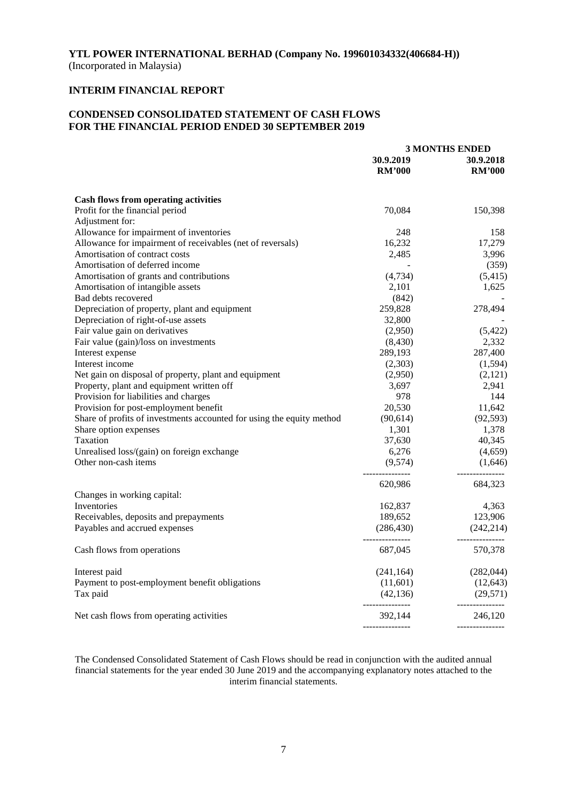# **INTERIM FINANCIAL REPORT**

## **CONDENSED CONSOLIDATED STATEMENT OF CASH FLOWS FOR THE FINANCIAL PERIOD ENDED 30 SEPTEMBER 2019**

|                                                                       | <b>3 MONTHS ENDED</b>         |                               |  |
|-----------------------------------------------------------------------|-------------------------------|-------------------------------|--|
|                                                                       | 30.9.2019                     | 30.9.2018                     |  |
|                                                                       | <b>RM'000</b>                 | <b>RM'000</b>                 |  |
| <b>Cash flows from operating activities</b>                           |                               |                               |  |
| Profit for the financial period                                       | 70,084                        | 150,398                       |  |
| Adjustment for:                                                       |                               |                               |  |
| Allowance for impairment of inventories                               | 248                           | 158                           |  |
| Allowance for impairment of receivables (net of reversals)            | 16,232                        | 17,279                        |  |
| Amortisation of contract costs                                        | 2,485                         | 3,996                         |  |
| Amortisation of deferred income                                       |                               | (359)                         |  |
| Amortisation of grants and contributions                              | (4, 734)                      | (5, 415)                      |  |
| Amortisation of intangible assets                                     | 2,101                         | 1,625                         |  |
| Bad debts recovered                                                   | (842)                         |                               |  |
|                                                                       | 259,828                       | 278,494                       |  |
| Depreciation of property, plant and equipment                         |                               |                               |  |
| Depreciation of right-of-use assets                                   | 32,800                        |                               |  |
| Fair value gain on derivatives                                        | (2,950)                       | (5,422)                       |  |
| Fair value (gain)/loss on investments                                 | (8,430)                       | 2,332                         |  |
| Interest expense                                                      | 289,193                       | 287,400                       |  |
| Interest income                                                       | (2,303)                       | (1, 594)                      |  |
| Net gain on disposal of property, plant and equipment                 | (2,950)                       | (2,121)                       |  |
| Property, plant and equipment written off                             | 3,697                         | 2,941                         |  |
| Provision for liabilities and charges                                 | 978                           | 144                           |  |
| Provision for post-employment benefit                                 | 20,530                        | 11,642                        |  |
| Share of profits of investments accounted for using the equity method | (90, 614)                     | (92, 593)                     |  |
| Share option expenses                                                 | 1,301                         | 1,378                         |  |
| Taxation                                                              | 37,630                        | 40,345                        |  |
| Unrealised loss/(gain) on foreign exchange                            | 6,276                         | (4,659)                       |  |
| Other non-cash items                                                  | (9,574)<br>---------------    | (1,646)<br>---------------    |  |
|                                                                       | 620,986                       | 684,323                       |  |
| Changes in working capital:                                           |                               |                               |  |
| Inventories                                                           | 162,837                       | 4,363                         |  |
| Receivables, deposits and prepayments                                 | 189,652                       | 123,906                       |  |
| Payables and accrued expenses                                         | (286, 430)<br>--------------- | (242, 214)<br>--------------- |  |
| Cash flows from operations                                            | 687,045                       | 570,378                       |  |
| Interest paid                                                         | (241, 164)                    | (282, 044)                    |  |
| Payment to post-employment benefit obligations                        | (11,601)                      | (12, 643)                     |  |
| Tax paid                                                              | (42, 136)                     | (29, 571)                     |  |
| Net cash flows from operating activities                              | ---------------<br>392,144    | ---------------<br>246,120    |  |
|                                                                       |                               |                               |  |

The Condensed Consolidated Statement of Cash Flows should be read in conjunction with the audited annual financial statements for the year ended 30 June 2019 and the accompanying explanatory notes attached to the interim financial statements.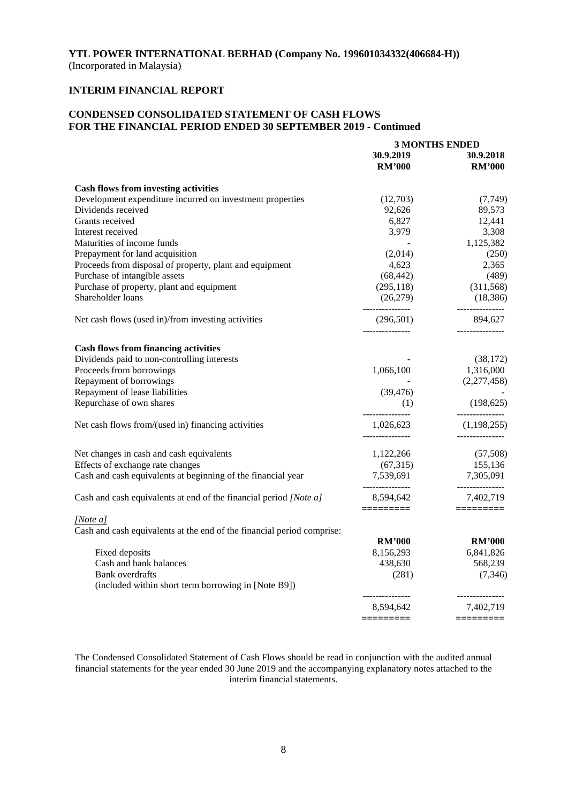## **INTERIM FINANCIAL REPORT**

## **CONDENSED CONSOLIDATED STATEMENT OF CASH FLOWS FOR THE FINANCIAL PERIOD ENDED 30 SEPTEMBER 2019 - Continued**

|                                                                        | <b>3 MONTHS ENDED</b>        |                                |  |
|------------------------------------------------------------------------|------------------------------|--------------------------------|--|
|                                                                        | 30.9.2019                    | 30.9.2018                      |  |
|                                                                        | <b>RM'000</b>                | <b>RM'000</b>                  |  |
| <b>Cash flows from investing activities</b>                            |                              |                                |  |
| Development expenditure incurred on investment properties              | (12,703)                     | (7,749)                        |  |
| Dividends received                                                     | 92,626                       | 89,573                         |  |
| Grants received                                                        | 6,827                        | 12,441                         |  |
| Interest received                                                      | 3,979                        | 3,308                          |  |
| Maturities of income funds                                             |                              | 1,125,382                      |  |
| Prepayment for land acquisition                                        | (2,014)                      | (250)                          |  |
| Proceeds from disposal of property, plant and equipment                | 4,623                        | 2,365                          |  |
| Purchase of intangible assets                                          | (68, 442)                    | (489)                          |  |
| Purchase of property, plant and equipment                              | (295, 118)                   | (311,568)                      |  |
| Shareholder loans                                                      | (26,279)                     | (18, 386)                      |  |
| Net cash flows (used in)/from investing activities                     | (296,501)<br>--------------- | 894,627                        |  |
| <b>Cash flows from financing activities</b>                            |                              |                                |  |
| Dividends paid to non-controlling interests                            |                              | (38, 172)                      |  |
| Proceeds from borrowings                                               | 1,066,100                    | 1,316,000                      |  |
| Repayment of borrowings                                                |                              | (2,277,458)                    |  |
| Repayment of lease liabilities                                         | (39, 476)                    |                                |  |
| Repurchase of own shares                                               | (1)                          | (198, 625)                     |  |
|                                                                        | _______________              | --------------                 |  |
| Net cash flows from/(used in) financing activities                     | 1,026,623<br>--------------- | (1,198,255)<br>--------------- |  |
| Net changes in cash and cash equivalents                               | 1,122,266                    | (57,508)                       |  |
| Effects of exchange rate changes                                       | (67,315)                     | 155,136                        |  |
| Cash and cash equivalents at beginning of the financial year           | 7,539,691                    | 7,305,091                      |  |
| Cash and cash equivalents at end of the financial period [Note a]      | _______________<br>8,594,642 | ---------------<br>7,402,719   |  |
| [Note a]                                                               | =========                    | $=$ = = = = = = = = =          |  |
| Cash and cash equivalents at the end of the financial period comprise: |                              |                                |  |
|                                                                        | <b>RM'000</b>                | <b>RM'000</b>                  |  |
| Fixed deposits                                                         | 8,156,293                    | 6,841,826                      |  |
| Cash and bank balances                                                 | 438,630                      | 568,239                        |  |
| <b>Bank</b> overdrafts                                                 | (281)                        | (7,346)                        |  |
| (included within short term borrowing in [Note B9])                    |                              |                                |  |
|                                                                        | ---------------<br>8,594,642 | ---------------<br>7,402,719   |  |
|                                                                        | =========                    | $=$ =========                  |  |
|                                                                        |                              |                                |  |

The Condensed Consolidated Statement of Cash Flows should be read in conjunction with the audited annual financial statements for the year ended 30 June 2019 and the accompanying explanatory notes attached to the interim financial statements.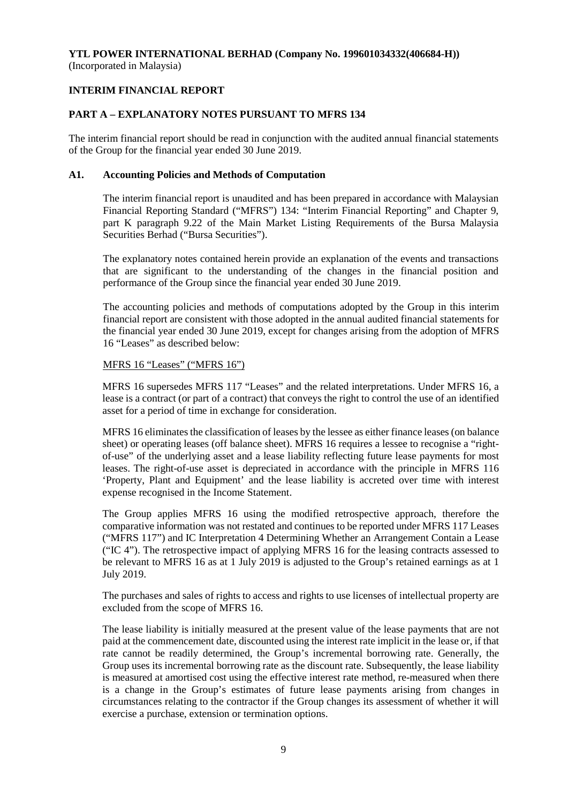## **INTERIM FINANCIAL REPORT**

## **PART A – EXPLANATORY NOTES PURSUANT TO MFRS 134**

The interim financial report should be read in conjunction with the audited annual financial statements of the Group for the financial year ended 30 June 2019.

## **A1. Accounting Policies and Methods of Computation**

The interim financial report is unaudited and has been prepared in accordance with Malaysian Financial Reporting Standard ("MFRS") 134: "Interim Financial Reporting" and Chapter 9, part K paragraph 9.22 of the Main Market Listing Requirements of the Bursa Malaysia Securities Berhad ("Bursa Securities").

The explanatory notes contained herein provide an explanation of the events and transactions that are significant to the understanding of the changes in the financial position and performance of the Group since the financial year ended 30 June 2019.

The accounting policies and methods of computations adopted by the Group in this interim financial report are consistent with those adopted in the annual audited financial statements for the financial year ended 30 June 2019, except for changes arising from the adoption of MFRS 16 "Leases" as described below:

### MFRS 16 "Leases" ("MFRS 16")

MFRS 16 supersedes MFRS 117 "Leases" and the related interpretations. Under MFRS 16, a lease is a contract (or part of a contract) that conveys the right to control the use of an identified asset for a period of time in exchange for consideration.

MFRS 16 eliminates the classification of leases by the lessee as either finance leases (on balance sheet) or operating leases (off balance sheet). MFRS 16 requires a lessee to recognise a "rightof-use" of the underlying asset and a lease liability reflecting future lease payments for most leases. The right-of-use asset is depreciated in accordance with the principle in MFRS 116 'Property, Plant and Equipment' and the lease liability is accreted over time with interest expense recognised in the Income Statement.

The Group applies MFRS 16 using the modified retrospective approach, therefore the comparative information was not restated and continues to be reported under MFRS 117 Leases ("MFRS 117") and IC Interpretation 4 Determining Whether an Arrangement Contain a Lease ("IC 4"). The retrospective impact of applying MFRS 16 for the leasing contracts assessed to be relevant to MFRS 16 as at 1 July 2019 is adjusted to the Group's retained earnings as at 1 July 2019.

The purchases and sales of rights to access and rights to use licenses of intellectual property are excluded from the scope of MFRS 16.

The lease liability is initially measured at the present value of the lease payments that are not paid at the commencement date, discounted using the interest rate implicit in the lease or, if that rate cannot be readily determined, the Group's incremental borrowing rate. Generally, the Group uses its incremental borrowing rate as the discount rate. Subsequently, the lease liability is measured at amortised cost using the effective interest rate method, re-measured when there is a change in the Group's estimates of future lease payments arising from changes in circumstances relating to the contractor if the Group changes its assessment of whether it will exercise a purchase, extension or termination options.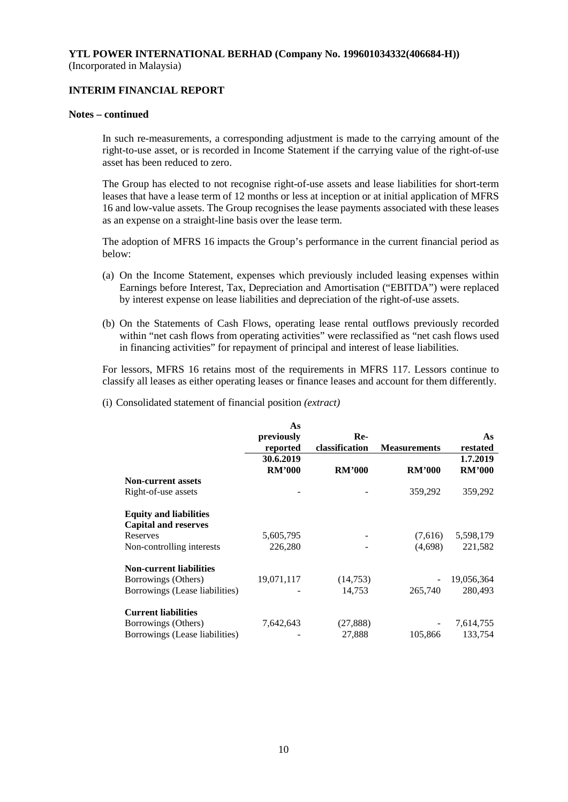## **INTERIM FINANCIAL REPORT**

### **Notes – continued**

In such re-measurements, a corresponding adjustment is made to the carrying amount of the right-to-use asset, or is recorded in Income Statement if the carrying value of the right-of-use asset has been reduced to zero.

The Group has elected to not recognise right-of-use assets and lease liabilities for short-term leases that have a lease term of 12 months or less at inception or at initial application of MFRS 16 and low-value assets. The Group recognises the lease payments associated with these leases as an expense on a straight-line basis over the lease term.

The adoption of MFRS 16 impacts the Group's performance in the current financial period as below:

- (a) On the Income Statement, expenses which previously included leasing expenses within Earnings before Interest, Tax, Depreciation and Amortisation ("EBITDA") were replaced by interest expense on lease liabilities and depreciation of the right-of-use assets.
- (b) On the Statements of Cash Flows, operating lease rental outflows previously recorded within "net cash flows from operating activities" were reclassified as "net cash flows used in financing activities" for repayment of principal and interest of lease liabilities.

For lessors, MFRS 16 retains most of the requirements in MFRS 117. Lessors continue to classify all leases as either operating leases or finance leases and account for them differently.

(i) Consolidated statement of financial position *(extract)*

|                                | As            |                |                     |               |
|--------------------------------|---------------|----------------|---------------------|---------------|
|                                | previously    | Re-            |                     | As            |
|                                | reported      | classification | <b>Measurements</b> | restated      |
|                                | 30.6.2019     |                |                     | 1.7.2019      |
|                                | <b>RM'000</b> | <b>RM'000</b>  | <b>RM'000</b>       | <b>RM'000</b> |
| <b>Non-current assets</b>      |               |                |                     |               |
| Right-of-use assets            |               |                | 359,292             | 359,292       |
| <b>Equity and liabilities</b>  |               |                |                     |               |
| <b>Capital and reserves</b>    |               |                |                     |               |
| Reserves                       | 5,605,795     |                | (7,616)             | 5,598,179     |
| Non-controlling interests      | 226,280       |                | (4,698)             | 221,582       |
| <b>Non-current liabilities</b> |               |                |                     |               |
| Borrowings (Others)            | 19,071,117    | (14,753)       |                     | 19,056,364    |
| Borrowings (Lease liabilities) |               | 14,753         | 265,740             | 280,493       |
| <b>Current liabilities</b>     |               |                |                     |               |
| Borrowings (Others)            | 7,642,643     | (27, 888)      |                     | 7,614,755     |
| Borrowings (Lease liabilities) |               | 27,888         | 105,866             | 133,754       |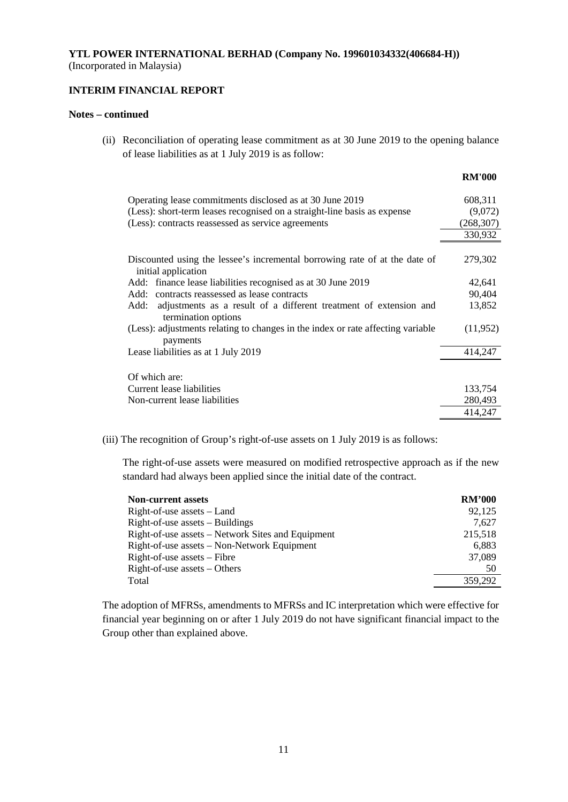## **INTERIM FINANCIAL REPORT**

### **Notes – continued**

(ii) Reconciliation of operating lease commitment as at 30 June 2019 to the opening balance of lease liabilities as at 1 July 2019 is as follow:

|                                                                                                   | <b>RM'000</b> |
|---------------------------------------------------------------------------------------------------|---------------|
| Operating lease commitments disclosed as at 30 June 2019                                          | 608,311       |
| (Less): short-term leases recognised on a straight-line basis as expense                          | (9,072)       |
| (Less): contracts reassessed as service agreements                                                | (268, 307)    |
|                                                                                                   | 330,932       |
| Discounted using the lessee's incremental borrowing rate of at the date of<br>initial application | 279,302       |
| Add: finance lease liabilities recognised as at 30 June 2019                                      | 42,641        |
| Add: contracts reassessed as lease contracts                                                      | 90,404        |
| adjustments as a result of a different treatment of extension and<br>Add:<br>termination options  | 13,852        |
| (Less): adjustments relating to changes in the index or rate affecting variable<br>payments       | (11,952)      |
| Lease liabilities as at 1 July 2019                                                               | 414,247       |
| Of which are:                                                                                     |               |
| Current lease liabilities                                                                         | 133,754       |
| Non-current lease liabilities                                                                     | 280,493       |
|                                                                                                   | 414,247       |

(iii) The recognition of Group's right-of-use assets on 1 July 2019 is as follows:

The right-of-use assets were measured on modified retrospective approach as if the new standard had always been applied since the initial date of the contract.

| <b>Non-current assets</b>                         | <b>RM'000</b> |
|---------------------------------------------------|---------------|
| Right-of-use assets – Land                        | 92,125        |
| $Right-of-use assets – Buildings$                 | 7,627         |
| Right-of-use assets – Network Sites and Equipment | 215,518       |
| Right-of-use assets – Non-Network Equipment       | 6.883         |
| $Right-of-use assets - Fibre$                     | 37,089        |
| $Right-of-use assets - Others$                    | 50            |
| Total                                             | 359,292       |

The adoption of MFRSs, amendments to MFRSs and IC interpretation which were effective for financial year beginning on or after 1 July 2019 do not have significant financial impact to the Group other than explained above.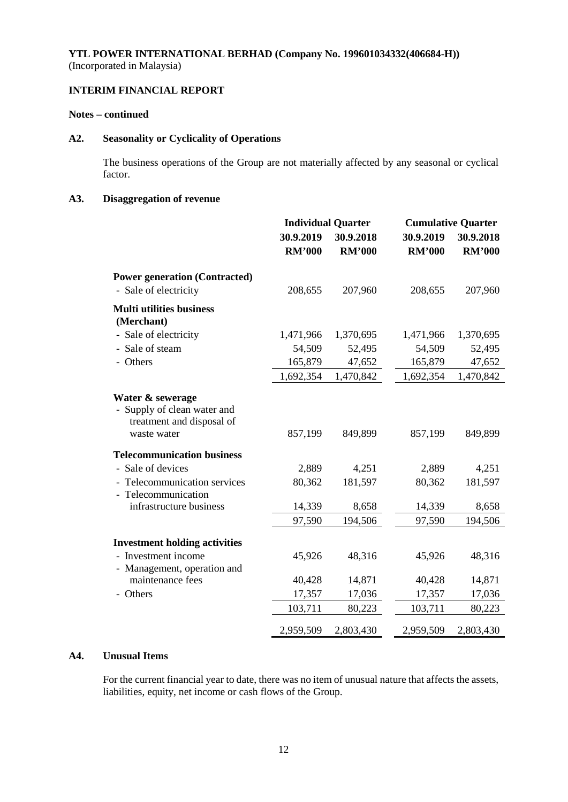# **INTERIM FINANCIAL REPORT**

## **Notes – continued**

## **A2. Seasonality or Cyclicality of Operations**

The business operations of the Group are not materially affected by any seasonal or cyclical factor.

# **A3. Disaggregation of revenue**

|                                                                                             | <b>Individual Quarter</b> |               |               | <b>Cumulative Quarter</b> |  |
|---------------------------------------------------------------------------------------------|---------------------------|---------------|---------------|---------------------------|--|
|                                                                                             | 30.9.2019                 | 30.9.2018     | 30.9.2019     | 30.9.2018                 |  |
|                                                                                             | <b>RM'000</b>             | <b>RM'000</b> | <b>RM'000</b> | <b>RM'000</b>             |  |
| <b>Power generation (Contracted)</b>                                                        |                           |               |               |                           |  |
| - Sale of electricity                                                                       | 208,655                   | 207,960       | 208,655       | 207,960                   |  |
| <b>Multi utilities business</b><br>(Merchant)                                               |                           |               |               |                           |  |
| - Sale of electricity                                                                       | 1,471,966                 | 1,370,695     | 1,471,966     | 1,370,695                 |  |
| - Sale of steam                                                                             | 54,509                    | 52,495        | 54,509        | 52,495                    |  |
| - Others                                                                                    | 165,879                   | 47,652        | 165,879       | 47,652                    |  |
|                                                                                             | 1,692,354                 | 1,470,842     | 1,692,354     | 1,470,842                 |  |
| Water & sewerage<br>- Supply of clean water and<br>treatment and disposal of<br>waste water | 857,199                   | 849,899       | 857,199       | 849,899                   |  |
| <b>Telecommunication business</b>                                                           |                           |               |               |                           |  |
| - Sale of devices                                                                           | 2,889                     | 4,251         | 2,889         | 4,251                     |  |
| - Telecommunication services<br>- Telecommunication                                         | 80,362                    | 181,597       | 80,362        | 181,597                   |  |
| infrastructure business                                                                     | 14,339                    | 8,658         | 14,339        | 8,658                     |  |
|                                                                                             | 97,590                    | 194,506       | 97,590        | 194,506                   |  |
| <b>Investment holding activities</b>                                                        |                           |               |               |                           |  |
| - Investment income                                                                         | 45,926                    | 48,316        | 45,926        | 48,316                    |  |
| - Management, operation and<br>maintenance fees                                             | 40,428                    | 14,871        | 40,428        | 14,871                    |  |
| - Others                                                                                    | 17,357                    | 17,036        | 17,357        | 17,036                    |  |
|                                                                                             | 103,711                   | 80,223        | 103,711       | 80,223                    |  |
|                                                                                             | 2,959,509                 | 2,803,430     | 2,959,509     | 2,803,430                 |  |

## **A4. Unusual Items**

For the current financial year to date, there was no item of unusual nature that affects the assets, liabilities, equity, net income or cash flows of the Group.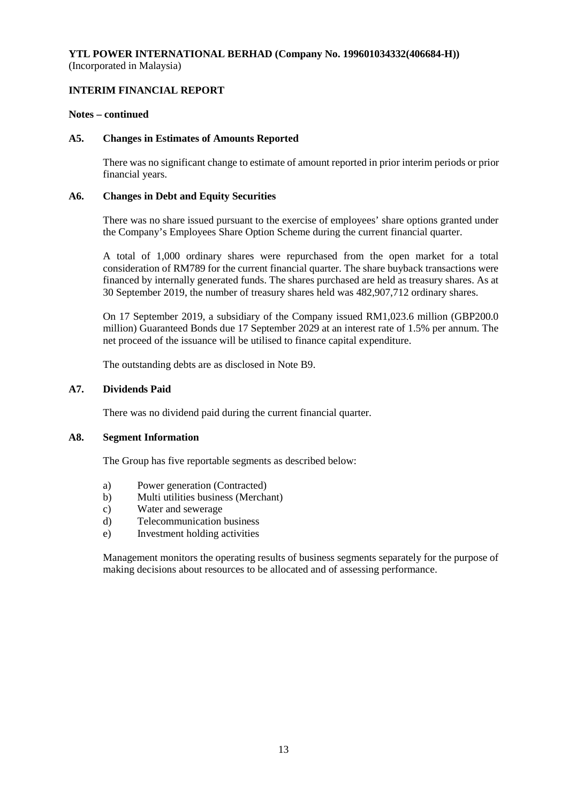## **INTERIM FINANCIAL REPORT**

### **Notes – continued**

### **A5. Changes in Estimates of Amounts Reported**

There was no significant change to estimate of amount reported in prior interim periods or prior financial years.

### **A6. Changes in Debt and Equity Securities**

There was no share issued pursuant to the exercise of employees' share options granted under the Company's Employees Share Option Scheme during the current financial quarter.

A total of 1,000 ordinary shares were repurchased from the open market for a total consideration of RM789 for the current financial quarter. The share buyback transactions were financed by internally generated funds. The shares purchased are held as treasury shares. As at 30 September 2019, the number of treasury shares held was 482,907,712 ordinary shares.

On 17 September 2019, a subsidiary of the Company issued RM1,023.6 million (GBP200.0 million) Guaranteed Bonds due 17 September 2029 at an interest rate of 1.5% per annum. The net proceed of the issuance will be utilised to finance capital expenditure.

The outstanding debts are as disclosed in Note B9.

### **A7. Dividends Paid**

There was no dividend paid during the current financial quarter.

### **A8. Segment Information**

The Group has five reportable segments as described below:

- a) Power generation (Contracted)
- b) Multi utilities business (Merchant)
- c) Water and sewerage
- d) Telecommunication business
- e) Investment holding activities

Management monitors the operating results of business segments separately for the purpose of making decisions about resources to be allocated and of assessing performance.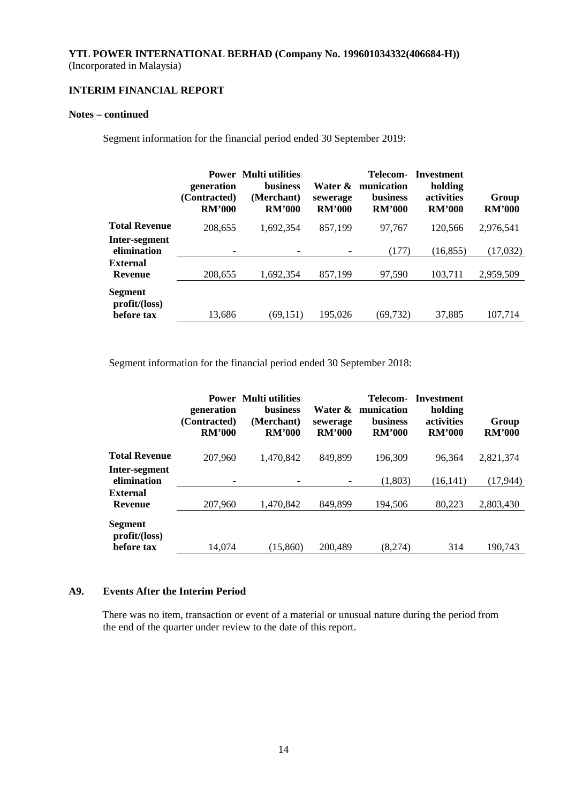# **INTERIM FINANCIAL REPORT**

## **Notes – continued**

Segment information for the financial period ended 30 September 2019:

|                              | generation<br>(Contracted)<br><b>RM'000</b> | <b>Power</b> Multi utilities<br><b>business</b><br>(Merchant)<br><b>RM'000</b> | Water &<br>sewerage<br><b>RM'000</b> | Telecom-<br>munication<br><b>business</b><br><b>RM'000</b> | Investment<br>holding<br>activities<br><b>RM'000</b> | Group<br><b>RM'000</b> |
|------------------------------|---------------------------------------------|--------------------------------------------------------------------------------|--------------------------------------|------------------------------------------------------------|------------------------------------------------------|------------------------|
| <b>Total Revenue</b>         | 208,655                                     | 1.692.354                                                                      | 857,199                              | 97,767                                                     | 120,566                                              | 2,976,541              |
| Inter-segment<br>elimination |                                             |                                                                                |                                      | (177)                                                      | (16, 855)                                            | (17,032)               |
| External<br><b>Revenue</b>   | 208,655                                     | 1.692.354                                                                      | 857,199                              | 97.590                                                     | 103,711                                              | 2,959,509              |
| Segment<br>profit/loss)      |                                             |                                                                                |                                      |                                                            |                                                      |                        |
| before tax                   | 13,686                                      | (69, 151)                                                                      | 195,026                              | (69,732)                                                   | 37,885                                               | 107.714                |

Segment information for the financial period ended 30 September 2018:

|                                   | generation<br>(Contracted)<br><b>RM'000</b> | <b>Power</b> Multi utilities<br><b>business</b><br>(Merchant)<br><b>RM'000</b> | Water &<br>sewerage<br><b>RM'000</b> | Telecom-<br>munication<br><b>business</b><br><b>RM'000</b> | Investment<br>holding<br>activities<br><b>RM'000</b> | Group<br><b>RM'000</b> |
|-----------------------------------|---------------------------------------------|--------------------------------------------------------------------------------|--------------------------------------|------------------------------------------------------------|------------------------------------------------------|------------------------|
| <b>Total Revenue</b>              | 207,960                                     | 1,470,842                                                                      | 849,899                              | 196.309                                                    | 96.364                                               | 2,821,374              |
| Inter-segment<br>elimination      |                                             |                                                                                |                                      | (1,803)                                                    | (16, 141)                                            | (17, 944)              |
| <b>External</b><br><b>Revenue</b> | 207,960                                     | 1,470,842                                                                      | 849,899                              | 194,506                                                    | 80.223                                               | 2,803,430              |
| Segment<br>profit/loss)           |                                             |                                                                                |                                      |                                                            |                                                      |                        |
| before tax                        | 14.074                                      | (15,860)                                                                       | 200,489                              | (8.274)                                                    | 314                                                  | 190.743                |

## **A9. Events After the Interim Period**

There was no item, transaction or event of a material or unusual nature during the period from the end of the quarter under review to the date of this report.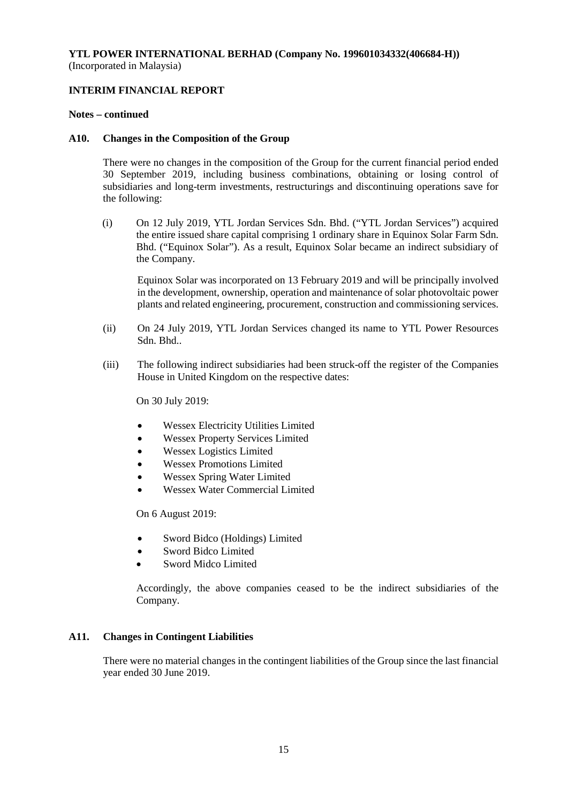## **INTERIM FINANCIAL REPORT**

### **Notes – continued**

### **A10. Changes in the Composition of the Group**

There were no changes in the composition of the Group for the current financial period ended 30 September 2019, including business combinations, obtaining or losing control of subsidiaries and long-term investments, restructurings and discontinuing operations save for the following:

(i) On 12 July 2019, YTL Jordan Services Sdn. Bhd. ("YTL Jordan Services") acquired the entire issued share capital comprising 1 ordinary share in Equinox Solar Farm Sdn. Bhd. ("Equinox Solar"). As a result, Equinox Solar became an indirect subsidiary of the Company.

Equinox Solar was incorporated on 13 February 2019 and will be principally involved in the development, ownership, operation and maintenance of solar photovoltaic power plants and related engineering, procurement, construction and commissioning services.

- (ii) On 24 July 2019, YTL Jordan Services changed its name to YTL Power Resources Sdn. Bhd..
- (iii) The following indirect subsidiaries had been struck-off the register of the Companies House in United Kingdom on the respective dates:

On 30 July 2019:

- Wessex Electricity Utilities Limited
- Wessex Property Services Limited
- Wessex Logistics Limited
- Wessex Promotions Limited
- Wessex Spring Water Limited
- Wessex Water Commercial Limited

On 6 August 2019:

- Sword Bidco (Holdings) Limited
- Sword Bidco Limited
- Sword Midco Limited

Accordingly, the above companies ceased to be the indirect subsidiaries of the Company.

## **A11. Changes in Contingent Liabilities**

There were no material changes in the contingent liabilities of the Group since the last financial year ended 30 June 2019.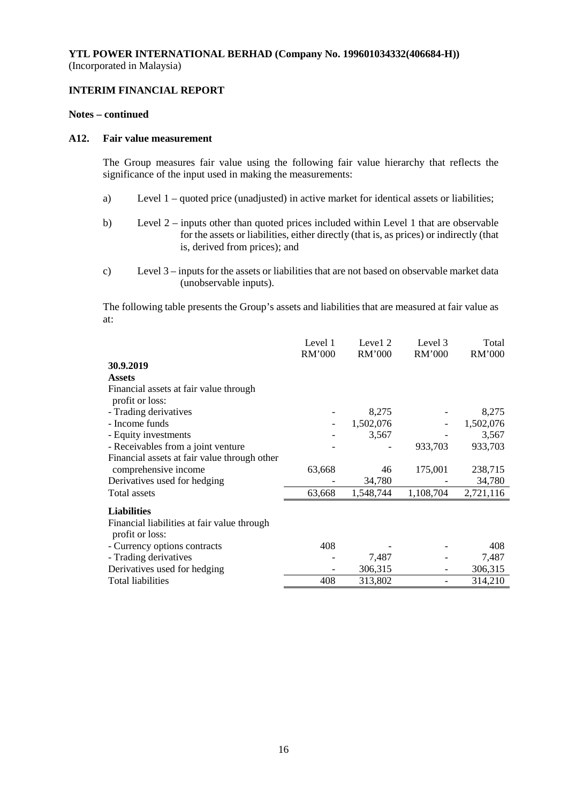## **INTERIM FINANCIAL REPORT**

### **Notes – continued**

## **A12. Fair value measurement**

The Group measures fair value using the following fair value hierarchy that reflects the significance of the input used in making the measurements:

- a) Level 1 quoted price (unadjusted) in active market for identical assets or liabilities;
- b) Level 2 inputs other than quoted prices included within Level 1 that are observable for the assets or liabilities, either directly (that is, as prices) or indirectly (that is, derived from prices); and
- c) Level 3 inputs for the assets or liabilities that are not based on observable market data (unobservable inputs).

The following table presents the Group's assets and liabilities that are measured at fair value as at:

|                                                                | Level 1<br><b>RM'000</b> | Level 2<br>RM'000 | Level 3<br>RM'000 | Total<br>RM'000 |
|----------------------------------------------------------------|--------------------------|-------------------|-------------------|-----------------|
| 30.9.2019                                                      |                          |                   |                   |                 |
| <b>Assets</b>                                                  |                          |                   |                   |                 |
| Financial assets at fair value through<br>profit or loss:      |                          |                   |                   |                 |
| - Trading derivatives                                          |                          | 8,275             |                   | 8,275           |
| - Income funds                                                 |                          | 1,502,076         |                   | 1,502,076       |
| - Equity investments                                           |                          | 3,567             |                   | 3,567           |
| - Receivables from a joint venture                             |                          |                   | 933,703           | 933,703         |
| Financial assets at fair value through other                   |                          |                   |                   |                 |
| comprehensive income                                           | 63,668                   | 46                | 175,001           | 238,715         |
| Derivatives used for hedging                                   |                          | 34,780            |                   | 34,780          |
| <b>Total assets</b>                                            | 63,668                   | 1,548,744         | 1,108,704         | 2,721,116       |
| <b>Liabilities</b>                                             |                          |                   |                   |                 |
| Financial liabilities at fair value through<br>profit or loss: |                          |                   |                   |                 |
| - Currency options contracts                                   | 408                      |                   |                   | 408             |
| - Trading derivatives                                          |                          | 7,487             |                   | 7,487           |
| Derivatives used for hedging                                   |                          | 306,315           |                   | 306,315         |
| <b>Total liabilities</b>                                       | 408                      | 313,802           |                   | 314,210         |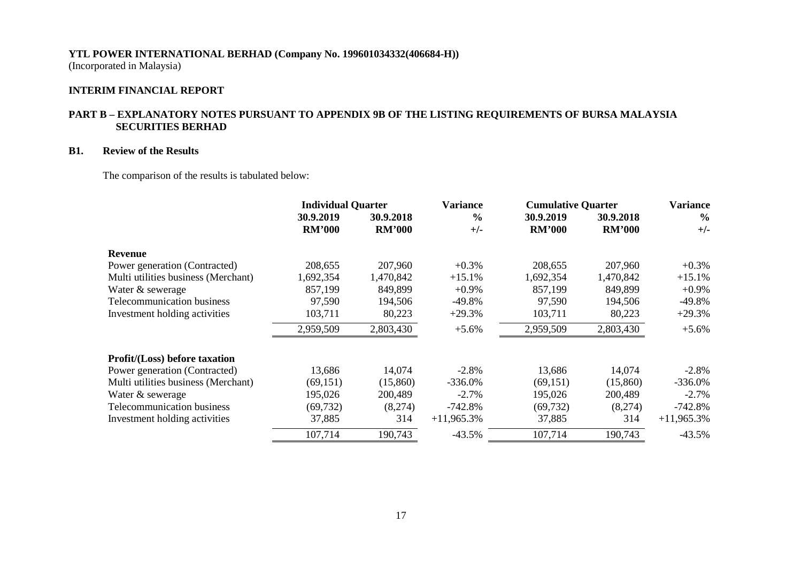# **YTL POWER INTERNATIONAL BERHAD (Company No. 199601034332(406684-H))**

(Incorporated in Malaysia)

## **INTERIM FINANCIAL REPORT**

## **PART B – EXPLANATORY NOTES PURSUANT TO APPENDIX 9B OF THE LISTING REQUIREMENTS OF BURSA MALAYSIA SECURITIES BERHAD**

## **B1. Review of the Results**

The comparison of the results is tabulated below:

|                                      | <b>Individual Quarter</b> |               | <b>Variance</b> | <b>Cumulative Quarter</b> | <b>Variance</b> |               |
|--------------------------------------|---------------------------|---------------|-----------------|---------------------------|-----------------|---------------|
|                                      | 30.9.2019                 | 30.9.2018     | $\frac{0}{0}$   | 30.9.2019                 | 30.9.2018       | $\frac{0}{0}$ |
|                                      | <b>RM'000</b>             | <b>RM'000</b> | $+/-$           | <b>RM'000</b>             | <b>RM'000</b>   | $+/-$         |
| Revenue                              |                           |               |                 |                           |                 |               |
| Power generation (Contracted)        | 208,655                   | 207,960       | $+0.3%$         | 208,655                   | 207,960         | $+0.3\%$      |
| Multi utilities business (Merchant)  | 1,692,354                 | 1,470,842     | $+15.1%$        | 1,692,354                 | 1,470,842       | $+15.1%$      |
| Water & sewerage                     | 857,199                   | 849,899       | $+0.9%$         | 857,199                   | 849,899         | $+0.9\%$      |
| <b>Telecommunication business</b>    | 97,590                    | 194,506       | $-49.8%$        | 97,590                    | 194,506         | $-49.8%$      |
| Investment holding activities        | 103,711                   | 80,223        | $+29.3%$        | 103,711                   | 80,223          | $+29.3%$      |
|                                      | 2,959,509                 | 2,803,430     | $+5.6%$         | 2,959,509                 | 2,803,430       | $+5.6\%$      |
| <b>Profit/(Loss)</b> before taxation |                           |               |                 |                           |                 |               |
| Power generation (Contracted)        | 13,686                    | 14,074        | $-2.8\%$        | 13,686                    | 14,074          | $-2.8\%$      |
| Multi utilities business (Merchant)  | (69, 151)                 | (15,860)      | $-336.0%$       | (69, 151)                 | (15,860)        | $-336.0%$     |
| Water & sewerage                     | 195,026                   | 200,489       | $-2.7\%$        | 195,026                   | 200,489         | $-2.7\%$      |
| Telecommunication business           | (69, 732)                 | (8,274)       | $-742.8%$       | (69, 732)                 | (8,274)         | $-742.8%$     |
| Investment holding activities        | 37,885                    | 314           | $+11,965.3\%$   | 37,885                    | 314             | $+11,965.3\%$ |
|                                      | 107,714                   | 190,743       | $-43.5%$        | 107,714                   | 190,743         | $-43.5%$      |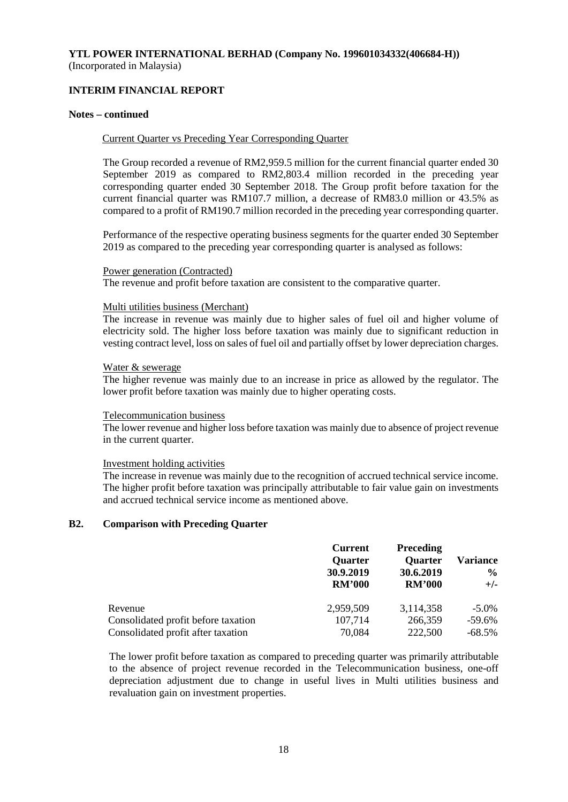# **INTERIM FINANCIAL REPORT**

### **Notes – continued**

### Current Quarter vs Preceding Year Corresponding Quarter

The Group recorded a revenue of RM2,959.5 million for the current financial quarter ended 30 September 2019 as compared to RM2,803.4 million recorded in the preceding year corresponding quarter ended 30 September 2018. The Group profit before taxation for the current financial quarter was RM107.7 million, a decrease of RM83.0 million or 43.5% as compared to a profit of RM190.7 million recorded in the preceding year corresponding quarter.

Performance of the respective operating business segments for the quarter ended 30 September 2019 as compared to the preceding year corresponding quarter is analysed as follows:

### Power generation (Contracted)

The revenue and profit before taxation are consistent to the comparative quarter.

### Multi utilities business (Merchant)

The increase in revenue was mainly due to higher sales of fuel oil and higher volume of electricity sold. The higher loss before taxation was mainly due to significant reduction in vesting contract level, loss on sales of fuel oil and partially offset by lower depreciation charges.

### Water & sewerage

The higher revenue was mainly due to an increase in price as allowed by the regulator. The lower profit before taxation was mainly due to higher operating costs.

### Telecommunication business

The lower revenue and higher loss before taxation was mainly due to absence of project revenue in the current quarter.

### Investment holding activities

The increase in revenue was mainly due to the recognition of accrued technical service income. The higher profit before taxation was principally attributable to fair value gain on investments and accrued technical service income as mentioned above.

### **B2. Comparison with Preceding Quarter**

|                                     | <b>Current</b><br><b>Quarter</b><br>30.9.2019<br><b>RM'000</b> | <b>Preceding</b><br><b>Quarter</b><br>30.6.2019<br><b>RM'000</b> | <b>Variance</b><br>$\frac{0}{0}$<br>$+/-$ |
|-------------------------------------|----------------------------------------------------------------|------------------------------------------------------------------|-------------------------------------------|
| Revenue                             | 2,959,509                                                      | 3,114,358                                                        | $-5.0\%$                                  |
| Consolidated profit before taxation | 107,714                                                        | 266,359                                                          | $-59.6\%$                                 |
| Consolidated profit after taxation  | 70,084                                                         | 222,500                                                          | $-68.5\%$                                 |

The lower profit before taxation as compared to preceding quarter was primarily attributable to the absence of project revenue recorded in the Telecommunication business, one-off depreciation adjustment due to change in useful lives in Multi utilities business and revaluation gain on investment properties.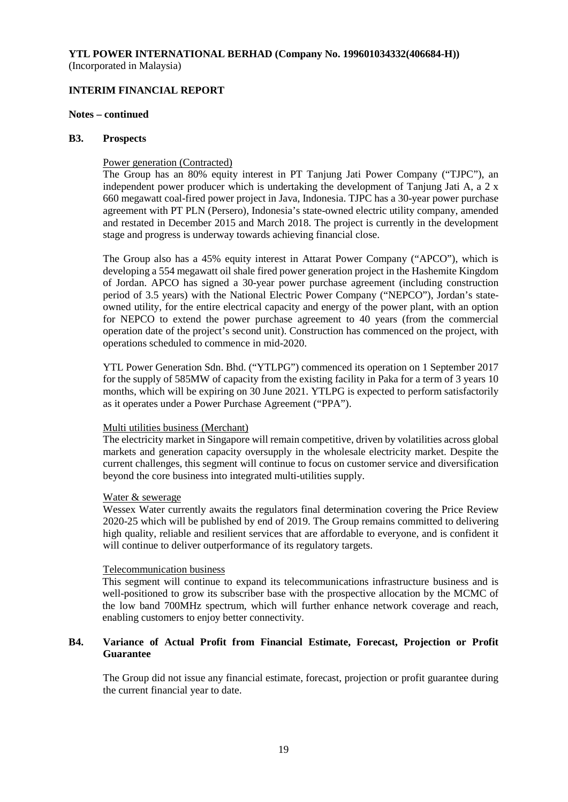## **INTERIM FINANCIAL REPORT**

### **Notes – continued**

### **B3. Prospects**

### Power generation (Contracted)

The Group has an 80% equity interest in PT Tanjung Jati Power Company ("TJPC"), an independent power producer which is undertaking the development of Tanjung Jati A, a 2 x 660 megawatt coal-fired power project in Java, Indonesia. TJPC has a 30-year power purchase agreement with PT PLN (Persero), Indonesia's state-owned electric utility company, amended and restated in December 2015 and March 2018. The project is currently in the development stage and progress is underway towards achieving financial close.

The Group also has a 45% equity interest in Attarat Power Company ("APCO"), which is developing a 554 megawatt oil shale fired power generation project in the Hashemite Kingdom of Jordan. APCO has signed a 30-year power purchase agreement (including construction period of 3.5 years) with the National Electric Power Company ("NEPCO"), Jordan's stateowned utility, for the entire electrical capacity and energy of the power plant, with an option for NEPCO to extend the power purchase agreement to 40 years (from the commercial operation date of the project's second unit). Construction has commenced on the project, with operations scheduled to commence in mid-2020.

YTL Power Generation Sdn. Bhd. ("YTLPG") commenced its operation on 1 September 2017 for the supply of 585MW of capacity from the existing facility in Paka for a term of 3 years 10 months, which will be expiring on 30 June 2021. YTLPG is expected to perform satisfactorily as it operates under a Power Purchase Agreement ("PPA").

### Multi utilities business (Merchant)

The electricity market in Singapore will remain competitive, driven by volatilities across global markets and generation capacity oversupply in the wholesale electricity market. Despite the current challenges, this segment will continue to focus on customer service and diversification beyond the core business into integrated multi-utilities supply.

### Water & sewerage

Wessex Water currently awaits the regulators final determination covering the Price Review 2020-25 which will be published by end of 2019. The Group remains committed to delivering high quality, reliable and resilient services that are affordable to everyone, and is confident it will continue to deliver outperformance of its regulatory targets.

### Telecommunication business

This segment will continue to expand its telecommunications infrastructure business and is well-positioned to grow its subscriber base with the prospective allocation by the MCMC of the low band 700MHz spectrum, which will further enhance network coverage and reach, enabling customers to enjoy better connectivity.

## **B4. Variance of Actual Profit from Financial Estimate, Forecast, Projection or Profit Guarantee**

The Group did not issue any financial estimate, forecast, projection or profit guarantee during the current financial year to date.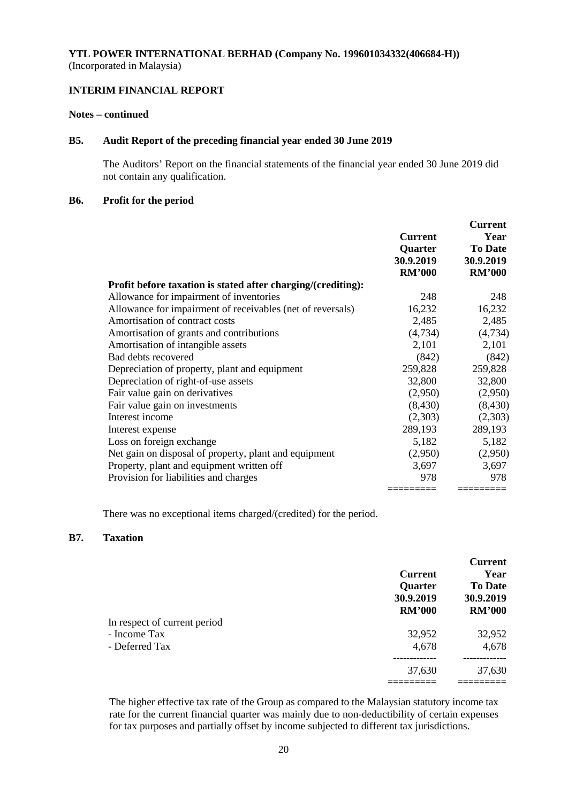## **INTERIM FINANCIAL REPORT**

### **Notes – continued**

## **B5. Audit Report of the preceding financial year ended 30 June 2019**

The Auditors' Report on the financial statements of the financial year ended 30 June 2019 did not contain any qualification.

## **B6. Profit for the period**

|                                                              |                | <b>Current</b> |
|--------------------------------------------------------------|----------------|----------------|
|                                                              | <b>Current</b> | Year           |
|                                                              | Quarter        | <b>To Date</b> |
|                                                              | 30.9.2019      | 30.9.2019      |
|                                                              | <b>RM'000</b>  | <b>RM'000</b>  |
| Profit before taxation is stated after charging/(crediting): |                |                |
| Allowance for impairment of inventories                      | 248            | 248            |
| Allowance for impairment of receivables (net of reversals)   | 16,232         | 16,232         |
| Amortisation of contract costs                               | 2,485          | 2,485          |
| Amortisation of grants and contributions                     | (4,734)        | (4,734)        |
| Amortisation of intangible assets                            | 2,101          | 2,101          |
| Bad debts recovered                                          | (842)          | (842)          |
| Depreciation of property, plant and equipment                | 259,828        | 259,828        |
| Depreciation of right-of-use assets                          | 32,800         | 32,800         |
| Fair value gain on derivatives                               | (2,950)        | (2,950)        |
| Fair value gain on investments                               | (8, 430)       | (8, 430)       |
| Interest income                                              | (2,303)        | (2,303)        |
| Interest expense                                             | 289,193        | 289,193        |
| Loss on foreign exchange                                     | 5,182          | 5,182          |
| Net gain on disposal of property, plant and equipment        | (2,950)        | (2,950)        |
| Property, plant and equipment written off                    | 3,697          | 3,697          |
| Provision for liabilities and charges                        | 978            | 978            |
|                                                              | =========      | =========      |

There was no exceptional items charged/(credited) for the period.

## **B7. Taxation**

|                              | <b>Current</b><br><b>Quarter</b><br>30.9.2019<br><b>RM'000</b> | <b>Current</b><br>Year<br><b>To Date</b><br>30.9.2019<br><b>RM'000</b> |
|------------------------------|----------------------------------------------------------------|------------------------------------------------------------------------|
| In respect of current period |                                                                |                                                                        |
| - Income Tax                 | 32,952                                                         | 32,952                                                                 |
| - Deferred Tax               | 4,678                                                          | 4,678                                                                  |
|                              | 37,630                                                         | 37,630                                                                 |
|                              |                                                                |                                                                        |

The higher effective tax rate of the Group as compared to the Malaysian statutory income tax rate for the current financial quarter was mainly due to non-deductibility of certain expenses for tax purposes and partially offset by income subjected to different tax jurisdictions.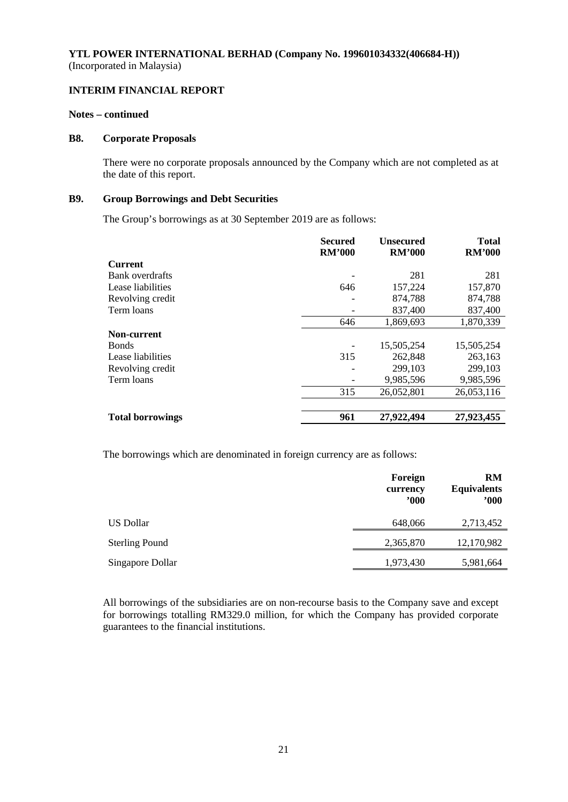## **INTERIM FINANCIAL REPORT**

### **Notes – continued**

### **B8. Corporate Proposals**

There were no corporate proposals announced by the Company which are not completed as at the date of this report.

## **B9. Group Borrowings and Debt Securities**

The Group's borrowings as at 30 September 2019 are as follows:

|                         | <b>Secured</b><br><b>RM'000</b> | <b>Unsecured</b><br><b>RM'000</b> | <b>Total</b><br><b>RM'000</b> |
|-------------------------|---------------------------------|-----------------------------------|-------------------------------|
| <b>Current</b>          |                                 |                                   |                               |
| Bank overdrafts         |                                 | 281                               | 281                           |
| Lease liabilities       | 646                             | 157,224                           | 157,870                       |
| Revolving credit        |                                 | 874,788                           | 874,788                       |
| Term loans              |                                 | 837,400                           | 837,400                       |
|                         | 646                             | 1,869,693                         | 1,870,339                     |
| Non-current             |                                 |                                   |                               |
| <b>B</b> onds           |                                 | 15,505,254                        | 15,505,254                    |
| Lease liabilities       | 315                             | 262,848                           | 263,163                       |
| Revolving credit        |                                 | 299,103                           | 299,103                       |
| Term loans              |                                 | 9,985,596                         | 9,985,596                     |
|                         | 315                             | 26,052,801                        | 26,053,116                    |
|                         |                                 |                                   |                               |
| <b>Total borrowings</b> | 961                             | 27,922,494                        | 27,923,455                    |

The borrowings which are denominated in foreign currency are as follows:

|                       | Foreign<br>currency<br>$900^\circ$ | <b>RM</b><br><b>Equivalents</b><br>"000" |
|-----------------------|------------------------------------|------------------------------------------|
| US Dollar             | 648,066                            | 2,713,452                                |
| <b>Sterling Pound</b> | 2,365,870                          | 12,170,982                               |
| Singapore Dollar      | 1,973,430                          | 5,981,664                                |

All borrowings of the subsidiaries are on non-recourse basis to the Company save and except for borrowings totalling RM329.0 million, for which the Company has provided corporate guarantees to the financial institutions.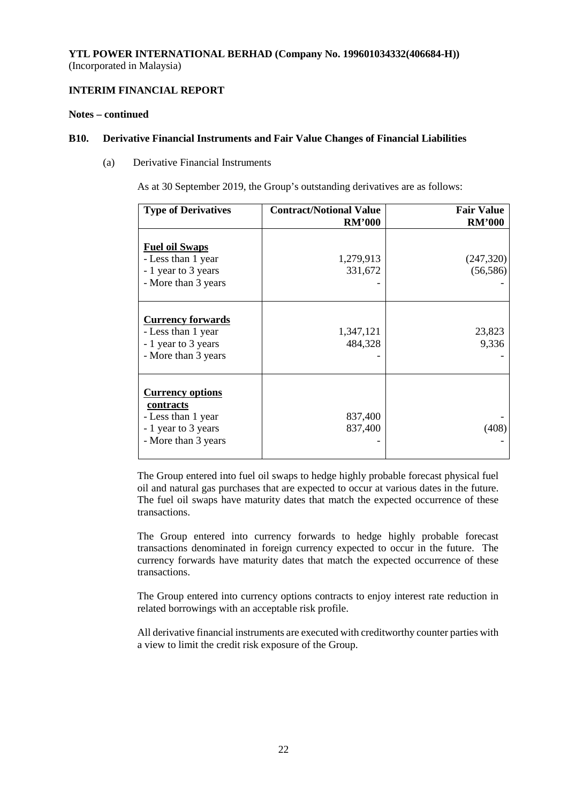## **INTERIM FINANCIAL REPORT**

## **Notes – continued**

### **B10. Derivative Financial Instruments and Fair Value Changes of Financial Liabilities**

(a) Derivative Financial Instruments

As at 30 September 2019, the Group's outstanding derivatives are as follows:

| <b>Type of Derivatives</b>                                                                               | <b>Contract/Notional Value</b> | <b>Fair Value</b>      |
|----------------------------------------------------------------------------------------------------------|--------------------------------|------------------------|
|                                                                                                          | <b>RM'000</b>                  | <b>RM'000</b>          |
| <b>Fuel oil Swaps</b><br>- Less than 1 year<br>- 1 year to 3 years<br>- More than 3 years                | 1,279,913<br>331,672           | (247,320)<br>(56, 586) |
| <b>Currency forwards</b><br>- Less than 1 year<br>- 1 year to 3 years<br>- More than 3 years             | 1,347,121<br>484,328           | 23,823<br>9,336        |
| <b>Currency options</b><br>contracts<br>- Less than 1 year<br>- 1 year to 3 years<br>- More than 3 years | 837,400<br>837,400             | (408)                  |

The Group entered into fuel oil swaps to hedge highly probable forecast physical fuel oil and natural gas purchases that are expected to occur at various dates in the future. The fuel oil swaps have maturity dates that match the expected occurrence of these transactions.

The Group entered into currency forwards to hedge highly probable forecast transactions denominated in foreign currency expected to occur in the future. The currency forwards have maturity dates that match the expected occurrence of these transactions.

The Group entered into currency options contracts to enjoy interest rate reduction in related borrowings with an acceptable risk profile.

All derivative financial instruments are executed with creditworthy counter parties with a view to limit the credit risk exposure of the Group.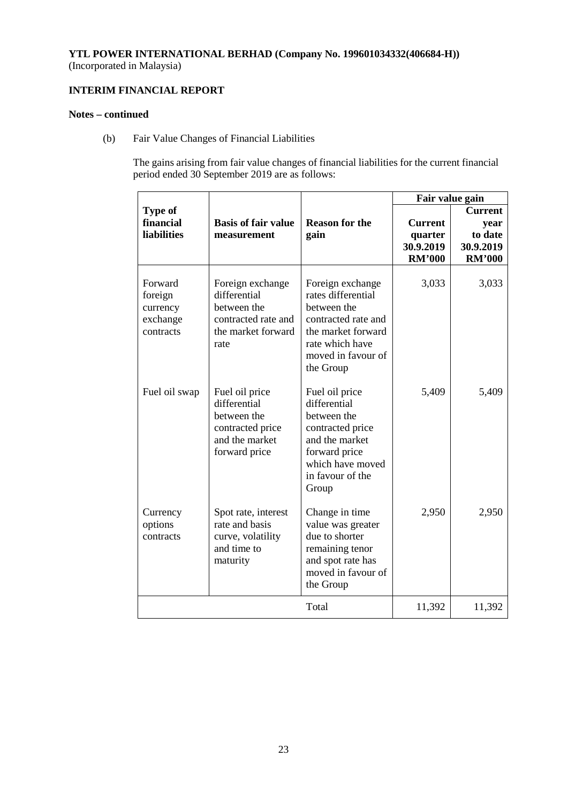# **INTERIM FINANCIAL REPORT**

## **Notes – continued**

(b) Fair Value Changes of Financial Liabilities

The gains arising from fair value changes of financial liabilities for the current financial period ended 30 September 2019 are as follows:

|                                                         |                                                                                                      |                                                                                                                                                          | Fair value gain                                         |                                                                 |
|---------------------------------------------------------|------------------------------------------------------------------------------------------------------|----------------------------------------------------------------------------------------------------------------------------------------------------------|---------------------------------------------------------|-----------------------------------------------------------------|
| <b>Type of</b><br>financial<br><b>liabilities</b>       | <b>Basis of fair value</b><br>measurement                                                            | <b>Reason for the</b><br>gain                                                                                                                            | <b>Current</b><br>quarter<br>30.9.2019<br><b>RM'000</b> | <b>Current</b><br>year<br>to date<br>30.9.2019<br><b>RM'000</b> |
| Forward<br>foreign<br>currency<br>exchange<br>contracts | Foreign exchange<br>differential<br>between the<br>contracted rate and<br>the market forward<br>rate | Foreign exchange<br>rates differential<br>between the<br>contracted rate and<br>the market forward<br>rate which have<br>moved in favour of<br>the Group | 3,033                                                   | 3,033                                                           |
| Fuel oil swap                                           | Fuel oil price<br>differential<br>between the<br>contracted price<br>and the market<br>forward price | Fuel oil price<br>differential<br>between the<br>contracted price<br>and the market<br>forward price<br>which have moved<br>in favour of the<br>Group    | 5,409                                                   | 5,409                                                           |
| Currency<br>options<br>contracts                        | Spot rate, interest<br>rate and basis<br>curve, volatility<br>and time to<br>maturity                | Change in time<br>value was greater<br>due to shorter<br>remaining tenor<br>and spot rate has<br>moved in favour of<br>the Group                         | 2,950                                                   | 2,950                                                           |
|                                                         |                                                                                                      | Total                                                                                                                                                    | 11,392                                                  | 11,392                                                          |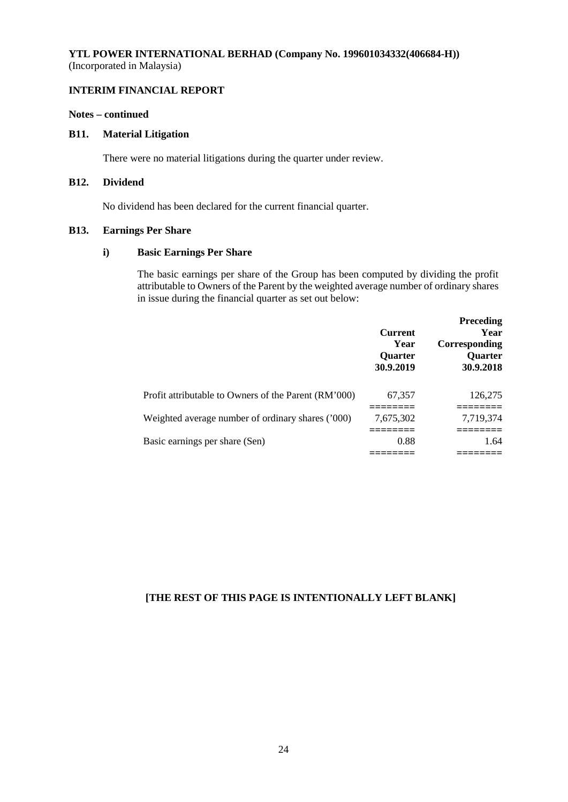# **INTERIM FINANCIAL REPORT**

## **Notes – continued**

## **B11. Material Litigation**

There were no material litigations during the quarter under review.

## **B12. Dividend**

No dividend has been declared for the current financial quarter.

### **B13. Earnings Per Share**

## **i) Basic Earnings Per Share**

The basic earnings per share of the Group has been computed by dividing the profit attributable to Owners of the Parent by the weighted average number of ordinary shares in issue during the financial quarter as set out below:

|                                                      | <b>Current</b><br>Year<br><b>Ouarter</b><br>30.9.2019 | <b>Preceding</b><br>Year<br>Corresponding<br><b>Ouarter</b><br>30.9.2018 |
|------------------------------------------------------|-------------------------------------------------------|--------------------------------------------------------------------------|
| Profit attributable to Owners of the Parent (RM'000) | 67,357                                                | 126,275                                                                  |
| Weighted average number of ordinary shares ('000)    | 7.675.302                                             | 7,719,374                                                                |
| Basic earnings per share (Sen)                       | 0.88                                                  | 1.64                                                                     |

## **[THE REST OF THIS PAGE IS INTENTIONALLY LEFT BLANK]**